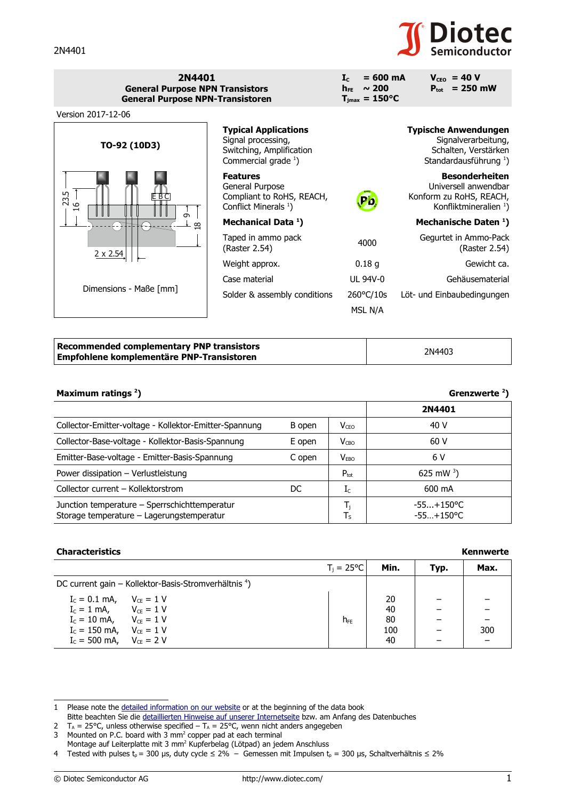# **Diotec**

| 2N4401<br><b>General Purpose NPN Transistors</b><br><b>General Purpose NPN-Transistoren</b> |                                                                                                            | $= 600 \text{ mA}$<br>$\mathbf{I}$ <sub>c</sub><br>$h_{FE} \sim 200$<br>$T_{\text{jmax}} = 150^{\circ}C$ | $V_{ceo}$ = 40 V<br>$P_{\text{tot}}$ = 250 mW                                                                   |
|---------------------------------------------------------------------------------------------|------------------------------------------------------------------------------------------------------------|----------------------------------------------------------------------------------------------------------|-----------------------------------------------------------------------------------------------------------------|
| Version 2017-12-06                                                                          |                                                                                                            |                                                                                                          |                                                                                                                 |
| TO-92 (10D3)                                                                                | <b>Typical Applications</b><br>Signal processing,<br>Switching, Amplification<br>Commercial grade $^{1}$ ) |                                                                                                          | <b>Typische Anwendungen</b><br>Signalverarbeitung,<br>Schalten, Verstärken<br>Standardausführung <sup>1</sup> ) |
| 23.5<br>EBC<br>$\circ$                                                                      | <b>Features</b><br>General Purpose<br>Compliant to RoHS, REACH,<br>Conflict Minerals <sup>1</sup> )        | Pb,                                                                                                      | <b>Besonderheiten</b><br>Universell anwendbar<br>Konform zu RoHS, REACH,<br>Konfliktmineralien <sup>1</sup> )   |
| $\sigma$<br>$\infty$                                                                        | Mechanical Data <sup>1</sup> )                                                                             |                                                                                                          | Mechanische Daten <sup>1</sup> )                                                                                |
| $2 \times 2.54$                                                                             | Taped in ammo pack<br>(Raster 2.54)                                                                        | 4000                                                                                                     | Gegurtet in Ammo-Pack<br>(Raster 2.54)                                                                          |
|                                                                                             | Weight approx.                                                                                             | 0.18 <sub>g</sub>                                                                                        | Gewicht ca.                                                                                                     |
| Dimensions - Maße [mm]                                                                      | Case material                                                                                              | UL 94V-0                                                                                                 | Gehäusematerial                                                                                                 |
|                                                                                             | Solder & assembly conditions                                                                               | 260°C/10s                                                                                                | Löt- und Einbaubedingungen                                                                                      |
|                                                                                             |                                                                                                            | MSL N/A                                                                                                  |                                                                                                                 |

| <b>Recommended complementary PNP transistors</b> | 2N4403 |
|--------------------------------------------------|--------|
| Empfohlene komplementäre PNP-Transistoren        |        |

| Maximum ratings <sup>2</sup> ) |  |  |
|--------------------------------|--|--|
|--------------------------------|--|--|

## **) Grenzwerte <sup>2</sup> )**

|                                                                                            |        |                         | 2N4401                       |
|--------------------------------------------------------------------------------------------|--------|-------------------------|------------------------------|
| Collector-Emitter-voltage - Kollektor-Emitter-Spannung                                     | B open | $V_{\text{CEO}}$        | 40 V                         |
| Collector-Base-voltage - Kollektor-Basis-Spannung                                          | E open | $V_{CBO}$               | 60 V                         |
| Emitter-Base-voltage - Emitter-Basis-Spannung                                              | C open | $V_{EBO}$               | 6 V                          |
| Power dissipation - Verlustleistung                                                        |        | $P_{\text{tot}}$        | 625 mW $^{3}$ )              |
| Collector current - Kollektorstrom                                                         | DC     | $I_c$                   | 600 mA                       |
| Junction temperature - Sperrschichttemperatur<br>Storage temperature - Lagerungstemperatur |        | $\mathsf{T}_\mathsf{S}$ | $-55+150$ °C<br>$-55+150$ °C |

## **Characteristics**

|                                |                                                                  | $T_i = 25^{\circ}C$ | Min. | Typ. | Max. |
|--------------------------------|------------------------------------------------------------------|---------------------|------|------|------|
|                                | DC current gain – Kollektor-Basis-Stromverhältnis <sup>4</sup> ) |                     |      |      |      |
| $I_c = 0.1$ mA, $V_{ce} = 1$ V |                                                                  |                     | 20   |      |      |
| $I_c = 1$ mA, $V_{CE} = 1$ V   |                                                                  |                     | 40   |      |      |
| $I_c = 10$ mA, $V_{CE} = 1$ V  |                                                                  | h <sub>FF</sub>     | -80  |      |      |
| $I_c = 150$ mA, $V_{ce} = 1$ V |                                                                  |                     | 100  |      | 300  |
| $I_c = 500$ mA, $V_{ce} = 2$ V |                                                                  |                     | 40   |      |      |

| <b>Kennwerte</b> |
|------------------|
|------------------|

<span id="page-0-0"></span><sup>1</sup> Please note the [detailed information on our website](http://diotec.com/en/products/all-products.html) or at the beginning of the data book

Bitte beachten Sie die [detaillierten Hinweise auf unserer Internetseite](http://diotec.com/de/produkte/uebersicht.html) bzw. am Anfang des Datenbuches

<span id="page-0-2"></span><span id="page-0-1"></span><sup>2</sup>  $T_A$  = 25°C, unless otherwise specified  $-T_A$  = 25°C, wenn nicht anders angegeben 3 Mounted on P.C. board with  $3 \text{ mm}^2$  copper pad at each terminal

Montage auf Leiterplatte mit 3 mm<sup>2</sup> Kupferbelag (Lötpad) an jedem Anschluss

<span id="page-0-3"></span><sup>4</sup> Tested with pulses t<sub>p</sub> = 300 µs, duty cycle ≤ 2% – Gemessen mit Impulsen t<sub>p</sub> = 300 µs, Schaltverhältnis ≤ 2%